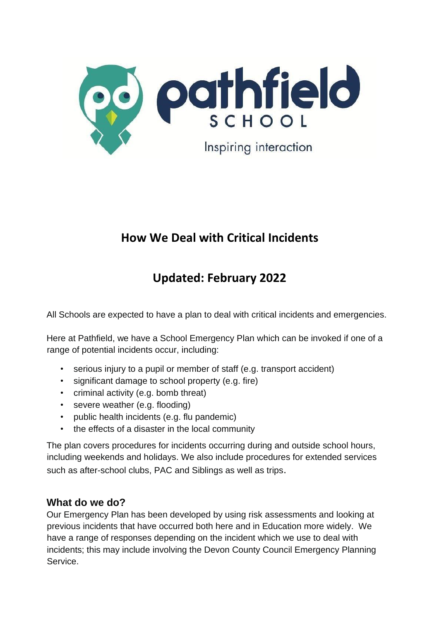

# **How We Deal with Critical Incidents**

# **Updated: February 2022**

All Schools are expected to have a plan to deal with critical incidents and emergencies.

Here at Pathfield, we have a School Emergency Plan which can be invoked if one of a range of potential incidents occur, including:

- serious injury to a pupil or member of staff (e.g. transport accident)
- significant damage to school property (e.g. fire)
- criminal activity (e.g. bomb threat)
- severe weather (e.g. flooding)
- public health incidents (e.g. flu pandemic)
- the effects of a disaster in the local community

The plan covers procedures for incidents occurring during and outside school hours, including weekends and holidays. We also include procedures for extended services such as after-school clubs, PAC and Siblings as well as trips.

## **What do we do?**

Our Emergency Plan has been developed by using risk assessments and looking at previous incidents that have occurred both here and in Education more widely. We have a range of responses depending on the incident which we use to deal with incidents; this may include involving the Devon County Council Emergency Planning Service.